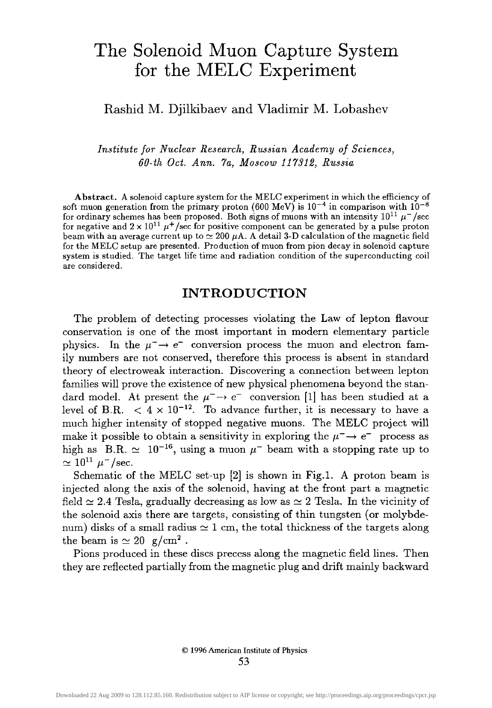# **The Solenoid Muon Capture System for the MELC Experiment**

# Rashid M. Djilkibaev and Vladimir M. Lobashev

*Institute for Nuclear Research, Russian Academy of Sciences, 60-th Oct. Ann. 7a, Moscow 117312, Russia* 

Abstract. A solenoid capture system for the MELC experiment in which the efficiency of soft muon generation from the primary proton (600 MeV) is  $10^{-4}$  in comparison with  $10^{-8}$ for ordinary schemes has been proposed. Both signs of muons with an intensity  $10^{11} \mu^{-}/\text{sec}$ for negative and  $2 \times 10^{11} \mu^{+}/\text{sec}$  for positive component can be generated by a pulse proton beam with an average current up to  $\simeq 200 \mu A$ . A detail 3-D calculation of the magnetic field for the MELC setup are presented. Production of muon from pion decay in solenoid capture system is studied. The target life time and radiation condition of the superconducting coil are considered.

#### INTRODUCTION

The problem of detecting processes violating the Law of lepton fiavour conservation is one of the most important in modern elementary particle physics. In the  $\mu^- \rightarrow e^-$  conversion process the muon and electron family numbers are not conserved, therefore this process is absent in standard theory of electroweak interaction. Discovering a connection between lepton families will prove the existence of new physical phenomena beyond the standard model. At present the  $\mu^- \rightarrow e^-$  conversion [1] has been studied at a level of B.R.  $\langle 4 \times 10^{-12} \rangle$ . To advance further, it is necessary to have a much higher intensity of stopped negative muons. The MELC project will make it possible to obtain a sensitivity in exploring the  $\mu^- \rightarrow e^-$  process as high as B.R.  $\simeq 10^{-16}$ , using a muon  $\mu^-$  beam with a stopping rate up to  $\simeq 10^{11} \mu^{-}/\text{sec}.$ 

Schematic of the MELC set-up [2] is shown in Fig.1. A proton beam is injected along the axis of the solenoid, having at the front part a magnetic field  $\simeq$  2.4 Tesla, gradually decreasing as low as  $\simeq$  2 Tesla. In the vicinity of the solenoid axis there are targets, consisting of thin tungsten (or molybdenum) disks of a small radius  $\simeq$  1 cm, the total thickness of the targets along the beam is  $\simeq 20 \text{ g/cm}^2$ .

Pions produced in these discs precess along the magnetic field lines. Then they are reflected partially from the magnetic plug and drift mainly backward

> © 1996 American Institute of Physics 53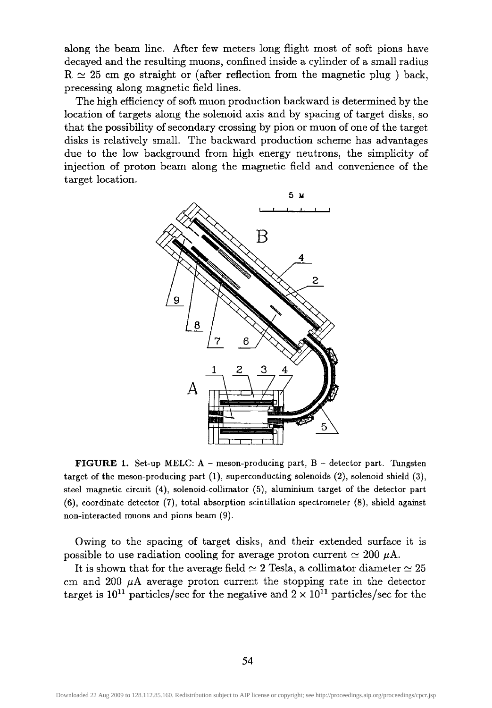along the beam line. After few meters long flight most of soft pions have decayed and the resulting muons, confined inside a cylinder of a small radius  $R \simeq 25$  cm go straight or (after reflection from the magnetic plug) back, precessing along magnetic field lines.

The high efficiency of soft muon production backward is determined by the location of targets along the solenoid axis and by spacing of target disks, so that the possibility of secondary crossing by pion or muon of one of the target disks is relatively small. The backward production scheme has advantages due to the low background from high energy neutrons, the simplicity of injection of proton beam along the magnetic field and convenience of the target location.



**FIGURE 1.** Set-up MELC:  $A$  – meson-producing part,  $B$  – detector part. Tungsten target of the meson-producing part (1), superconducting solenoids (2), solenoid shield (3), steel magnetic circuit (4), solenoid-collimator (5), aluminium target of the detector part (6), coordinate detector (7), total absorption scintillation spectrometer (8), shield against non-interacted muons and pions beam (9).

Owing to the spacing of target disks, and their extended surface it is possible to use radiation cooling for average proton current  $\simeq 200 \mu A$ .

It is shown that for the average field  $\simeq 2$  Tesla, a collimator diameter  $\simeq 25$ cm and 200  $\mu$ A average proton current the stopping rate in the detector target is  $10^{11}$  particles/sec for the negative and  $2 \times 10^{11}$  particles/sec for the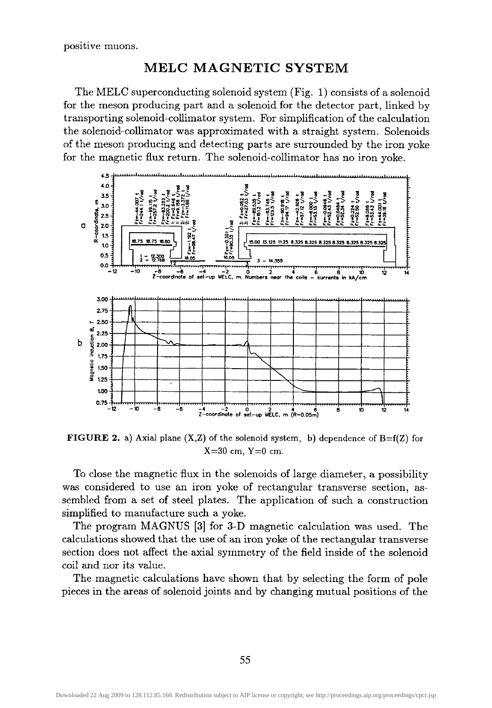positive muons.

#### MELC MAGNETIC SYSTEM

The MELC superconducting solenoid system (Fig. 1) consists of a solenoid for the meson producing part and a solenoid for the detector part, linked by transporting solenoid-collimator system. For simplification of the calculation the solenoid-collimator was approximated with a straight system. Solenoids of the meson producing and detecting parts are surrounded by the iron yoke for the magnetic flux return. The solenoid-collimator has no iron yoke.



**FIGURE 2.** a) Axial plane  $(X,Z)$  of the solenoid system, b) dependence of  $B=f(Z)$  for  $X=30$  cm,  $Y=0$  cm.

To close the magnetic flux in the solenoids of large diameter, a possibility was considered to use an iron yoke of rectangular transverse section, assembled from a set of steel plates. The application of such a construction simplified to manufacture such a yoke.

The program MAGNUS [3] for 3-D magnetic calculation was used. The calculations showed that the use of an iron yoke of the rectangular transverse section does not affect the axial symmetry of the field inside of the solenoid coil and nor its value.

The magnetic calculations have shown that by selecting the form of pole pieces in the areas of solenoid joints and by changing mutual positions of the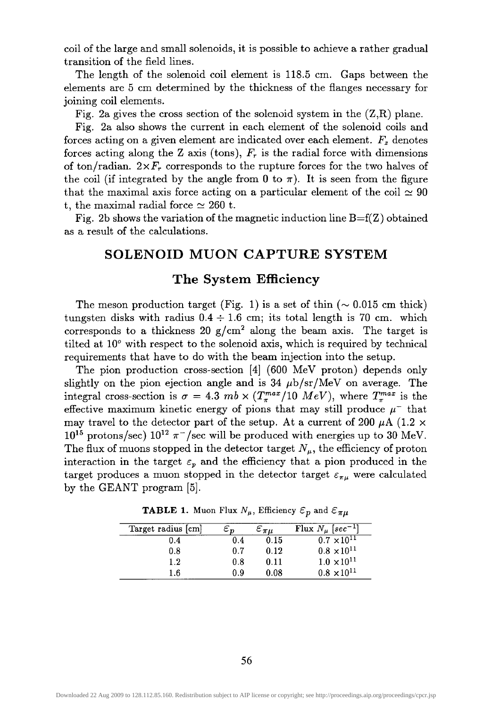coil of the large and small solenoids, it is possible to achieve a rather gradual transition of the field lines.

The length of the solenoid coil element is 118.5 cm. Gaps between the elements are 5 cm determined by the thickness of the flanges necessary for joining coil elements.

Fig. 2a gives the cross section of the solenoid system in the  $(Z,R)$  plane.

Fig. 2a also shows the current in each element of the solenoid coils and forces acting on a given element are indicated over each element.  $F<sub>z</sub>$  denotes forces acting along the Z axis (tons),  $F<sub>r</sub>$  is the radial force with dimensions of ton/radian.  $2\times F_r$  corresponds to the rupture forces for the two halves of the coil (if integrated by the angle from 0 to  $\pi$ ). It is seen from the figure that the maximal axis force acting on a particular element of the coil  $\simeq 90$ t, the maximal radial force  $\simeq 260$  t.

Fig. 2b shows the variation of the magnetic induction line  $B=f(Z)$  obtained as a result of the calculations.

# **SOLENOID MUON CAPTURE SYSTEM**

# The System **Efficiency**

The meson production target (Fig. 1) is a set of thin  $(\sim 0.015 \text{ cm thick})$ tungsten disks with radius  $0.4 \div 1.6$  cm; its total length is 70 cm. which corresponds to a thickness 20  $g/cm^2$  along the beam axis. The target is tilted at  $10^{\circ}$  with respect to the solenoid axis, which is required by technical requirements that have to do with the beam injection into the setup.

The pion production cross-section [4] (600 MeV proton) depends only slightly on the pion ejection angle and is  $34 \mu$ b/sr/MeV on average. The integral cross-section is  $\sigma = 4.3$  *mb*  $\times (T_{\pi}^{max}/10 \; MeV)$ , where  $T_{\pi}^{max}$  is the effective maximum kinetic energy of pions that may still produce  $\mu^-$  that may travel to the detector part of the setup. At a current of 200  $\mu$ A (1.2  $\times$  $10^{15}$  protons/sec)  $10^{12} \pi$ <sup>-</sup>/sec will be produced with energies up to 30 MeV. The flux of muons stopped in the detector target  $N_{\mu}$ , the efficiency of proton interaction in the target  $\varepsilon_p$  and the efficiency that a pion produced in the target produces a muon stopped in the detector target  $\varepsilon_{\pi\mu}$  were calculated by the GEANT program [5].

| Target radius [cm] | $\varepsilon_{\bm n}$ | $\varepsilon_{\pi\mu}$ | Flux $N_u$ [sec <sup>-1</sup> ] |
|--------------------|-----------------------|------------------------|---------------------------------|
| 0.4                | 0.4                   | 0.15                   | $0.7 \times 10^{11}$            |
| 0.8                | 0.7                   | 0.12                   | $0.8 \times 10^{11}$            |
| $1.2\,$            | 0.8                   | 0.11                   | $1.0 \times 10^{11}$            |
| 1.6                | 0.9                   | 0.08                   | $0.8 \times 10^{11}$            |

**TABLE 1.** Muon Flux  $N_{\mu}$ , Efficiency  $\varepsilon_p$  and  $\varepsilon_{\pi\mu}$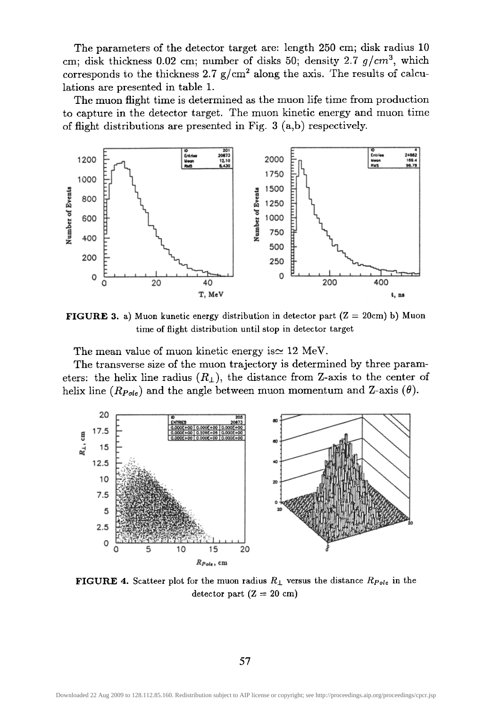The parameters of the detector target are: length 250 cm; disk radius 10 cm; disk thickness 0.02 cm; number of disks 50; density 2.7  $g/cm^3$ , which corresponds to the thickness 2.7  $g/cm^2$  along the axis. The results of calculations are presented in table 1.

The muon flight time is determined as the muon life time from production to capture in the detector target. The muon kinetic energy and muon time of flight distributions are presented in Fig. 3 (a,b) respectively.



**FIGURE 3.** a) Muon kunetic energy distribution in detector part  $(Z = 20 \text{cm})$  b) Muon time of flight distribution until stop in detector target

The mean value of muon kinetic energy is  $\simeq 12$  MeV.

The transverse size of the muon trajectory is determined by three parameters: the helix line radius  $(R_{\perp})$ , the distance from Z-axis to the center of helix line  $(R_{Pole})$  and the angle between muon momentum and Z-axis  $(\theta)$ .



**FIGURE 4.** Scatteer plot for the muon radius  $R_{\perp}$  versus the distance  $R_{Pole}$  in the detector part  $(Z = 20$  cm)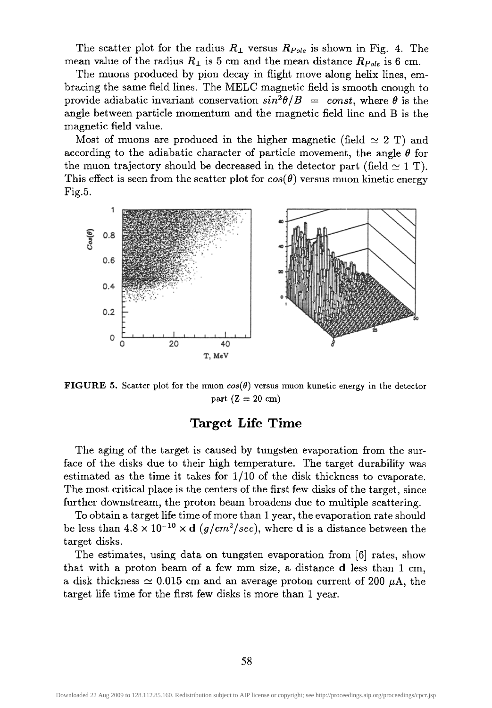The scatter plot for the radius  $R_{\perp}$  versus  $R_{Pole}$  is shown in Fig. 4. The mean value of the radius  $R_{\perp}$  is 5 cm and the mean distance  $R_{Pole}$  is 6 cm.

The muons produced by pion decay in flight move along helix lines, embracing the same field lines. The MELC magnetic field is smooth enough to provide adiabatic invariant conservation  $sin^2\theta/B = const$ , where  $\theta$  is the angle between particle momentum and the magnetic field line and B is the magnetic field value.

Most of muons are produced in the higher magnetic (field  $\simeq 2$  T) and according to the adiabatic character of particle movement, the angle  $\theta$  for the muon trajectory should be decreased in the detector part (field  $\simeq 1$  T). This effect is seen from the scatter plot for  $cos(\theta)$  versus muon kinetic energy Fig.5.



**FIGURE 5.** Scatter plot for the muon  $cos(\theta)$  versus muon kunetic energy in the detector part  $(Z = 20 \text{ cm})$ 

#### **Target Life Time**

The aging of the target is caused by tungsten evaporation from the surface of the disks due to their high temperature. The target durability was estimated as the time it takes for 1/10 of the disk thickness to evaporate. The most critical place is the centers of the first few disks of the target, since further downstream, the proton beam broadens due to multiple scattering.

To obtain a target life time of more than 1 year, the evaporation rate should be less than  $4.8 \times 10^{-10} \times d$  *(g/cm<sup>2</sup>/sec)*, where **d** is a distance between the target disks.

The estimates, using data on tungsten evaporation from [6] rates, show that with a proton beam of a few mm size, a distance d less than 1 cm, a disk thickness  $\simeq 0.015$  cm and an average proton current of 200  $\mu$ A, the target life time for the first few disks is more than 1 year.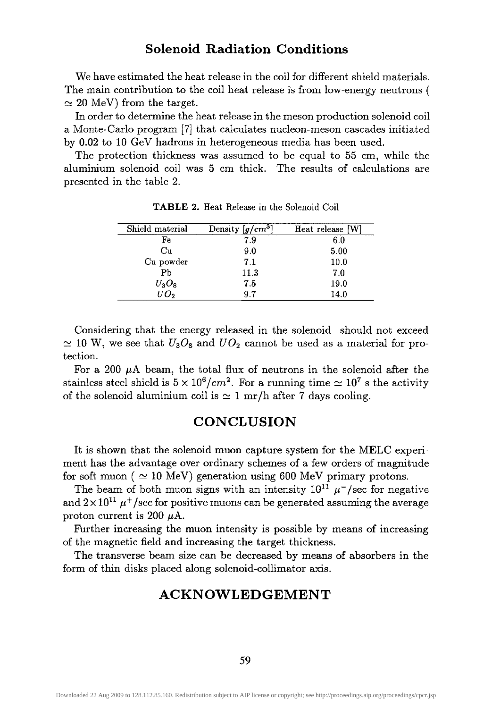# **Solenoid Radiation Conditions**

We have estimated the heat release in the coil for different shield materials. The main contribution to the coil heat release is from low-energy neutrons (  $\simeq 20$  MeV) from the target.

In order to determine the heat release in the meson production solenoid coil a Monte-Carlo program [7] that calculates nucleon-meson cascades initialed by 0.02 to 10 GeV hadrons in heterogeneous media has been used.

The protection thickness was assumed to be equal to 55 cm, while the aluminum solenoid coil was 5 cm thick. The results of calculations are presented in the table 2.

| Shield material   | Density $[g/cm^3]$ | Heat release [W] |
|-------------------|--------------------|------------------|
| Fe                | 7.9                | 6.0              |
| Cu                | 9.0                | 5.00             |
| Cu powder         | 7.1                | 10.0             |
| P <sub>b</sub>    | 11.3               | 7.0              |
| $U_3O_8$          | 7.5                | 19.0             |
| $\overline{U}O_2$ | 9.7                | 14.0             |

TABLE 2. Heat Release in the Solenoid Coil

Considering that the energy released in the solenoid should not exceed  $\simeq$  10 W, we see that  $U_3O_8$  and  $U_2O_2$  cannot be used as a material for protection.

For a 200  $\mu$ A beam, the total flux of neutrons in the solenoid after the stainless steel shield is  $5 \times 10^6/cm^2$ . For a running time  $\simeq 10^7$  s the activity of the solenoid aluminium coil is  $\simeq 1$  mr/h after 7 days cooling.

#### **CONCLUSION**

It is shown that the solenoid muon capture system for the MELC experiment has the advantage over ordinary schemes of a few orders of magnitude for soft muon ( $\simeq 10$  MeV) generation using 600 MeV primary protons.

The beam of both muon signs with an intensity  $10^{11} \mu^-$ /sec for negative and  $2 \times 10^{11}$   $\mu^+$ /sec for positive muons can be generated assuming the average proton current is 200  $\mu$ A.

Further increasing the muon intensity is possible by means of increasing of the magnetic field and increasing the target thickness.

The transverse beam size can be decreased by means of absorbers in the form of thin disks placed along solenoid-collimator axis.

# **ACKNOWLEDGEMENT**